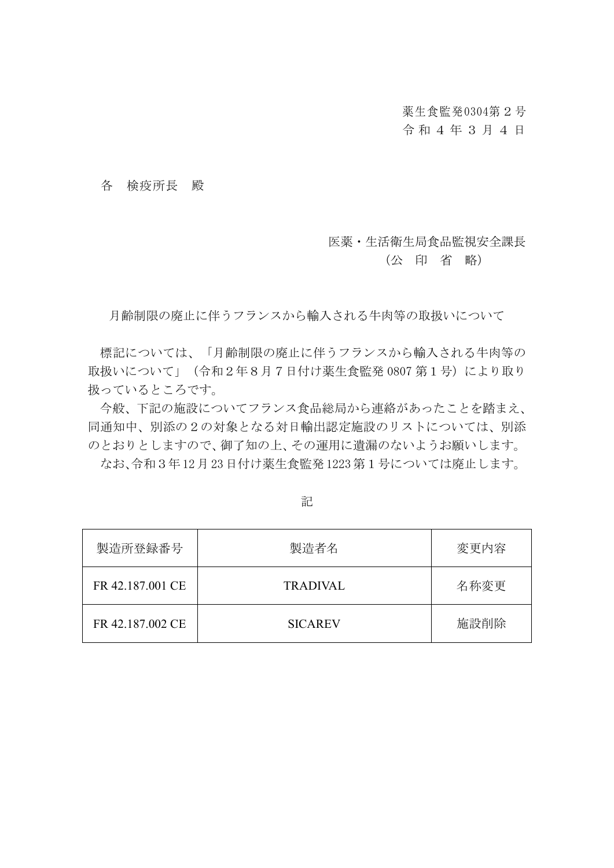薬生食監発0304第2号

## 令 和 4 年 3 月 4 日

各 検疫所長 殿

## 医薬・生活衛生局食品監視安全課長

## (公 印 省 略)

月齢制限の廃止に伴うフランスから輸入される牛肉等の取扱いについて

標記については、「月齢制限の廃止に伴うフランスから輸入される牛肉等の 取扱いについて」(令和2年8月7日付け薬生食監発 0807 第1号)により取り 扱っているところです。

今般、下記の施設についてフランス食品総局から連絡があったことを踏まえ、 同通知中、別添の2の対象となる対日輸出認定施設のリストについては、別添 のとおりとしますので、御了知の上、その運用に遺漏のないようお願いします。

なお、令和3年12月23日付け薬生食監発1223第1号については廃止します。

| 製造所登録番号          | 製造者名            | 変更内容 |
|------------------|-----------------|------|
| FR 42.187.001 CE | <b>TRADIVAL</b> | 名称変更 |
| FR 42.187.002 CE | <b>SICAREV</b>  | 施設削除 |

## 記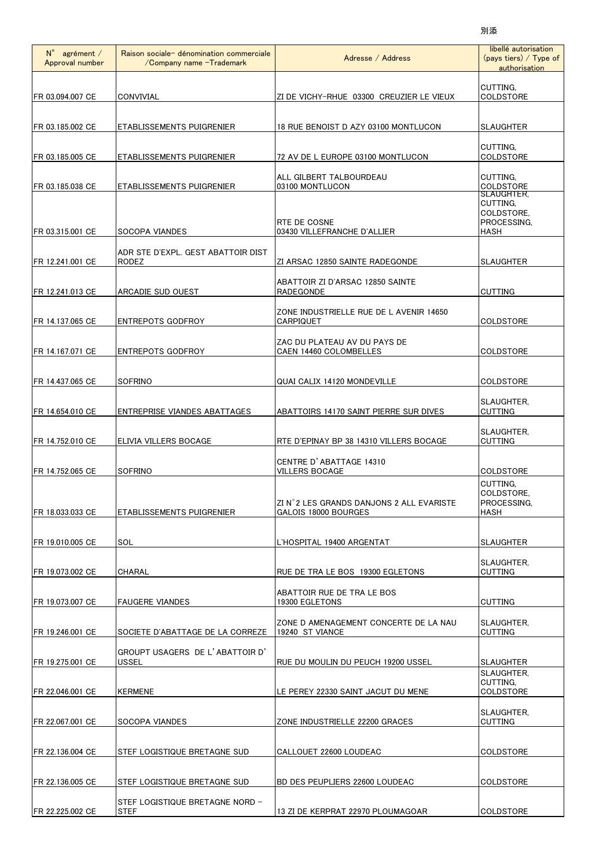| $N^{\circ}$ agrément /<br>Approval number | Raison sociale- dénomination commerciale<br>/Company name -Trademark | Adresse / Address                                                | libellé autorisation<br>$(pays$ tiers) / Type of<br>authorisation |
|-------------------------------------------|----------------------------------------------------------------------|------------------------------------------------------------------|-------------------------------------------------------------------|
| FR 03.094.007 CE                          | CONVIVIAL                                                            | ZI DE VICHY-RHUE 03300 CREUZIER LE VIEUX                         | CUTTING,<br><b>COLDSTORE</b>                                      |
| FR 03.185.002 CE                          | <b>ETABLISSEMENTS PUIGRENIER</b>                                     | 18 RUE BENOIST D AZY 03100 MONTLUCON                             | <b>SLAUGHTER</b>                                                  |
| FR 03.185.005 CE                          | <b>ETABLISSEMENTS PUIGRENIER</b>                                     | 72 AV DE L EUROPE 03100 MONTLUCON                                | <b>CUTTING.</b><br><b>COLDSTORE</b>                               |
| FR 03.185.038 CE                          | IETABLISSEMENTS PUIGRENIER                                           | ALL GILBERT TALBOURDEAU<br>03100 MONTLUCON                       | CUTTING,<br><b>COLDSTORE</b><br>SLAUGHTER.                        |
| IFR 03.315.001 CE                         | <b>SOCOPA VIANDES</b>                                                | RTE DE COSNE<br>03430 VILLEFRANCHE D'ALLIER                      | CUTTING,<br>COLDSTORE,<br>PROCESSING,<br>HASH                     |
| FR 12.241.001 CE                          | ADR STE D'EXPL. GEST ABATTOIR DIST<br><b>RODEZ</b>                   | ZI ARSAC 12850 SAINTE RADEGONDE                                  | <b>SLAUGHTER</b>                                                  |
| FR 12.241.013 CE                          | ARCADIE SUD OUEST                                                    | ABATTOIR ZI D'ARSAC 12850 SAINTE<br>RADEGONDE                    | <b>CUTTING</b>                                                    |
| FR 14.137.065 CE                          | ENTREPOTS GODFROY                                                    | ZONE INDUSTRIELLE RUE DE L AVENIR 14650<br>CARPIQUET             | <b>COLDSTORE</b>                                                  |
| FR 14.167.071 CE                          | <b>ENTREPOTS GODFROY</b>                                             | ZAC DU PLATEAU AV DU PAYS DE<br>CAEN 14460 COLOMBELLES           | <b>COLDSTORE</b>                                                  |
| FR 14.437.065 CE                          | <b>SOFRINO</b>                                                       | <b>QUAI CALIX 14120 MONDEVILLE</b>                               | COLDSTORE                                                         |
| FR 14.654.010 CE                          | <b>ENTREPRISE VIANDES ABATTAGES</b>                                  | ABATTOIRS 14170 SAINT PIERRE SUR DIVES                           | SLAUGHTER.<br><b>CUTTING</b>                                      |
| FR 14.752.010 CE                          | ELIVIA VILLERS BOCAGE                                                | RTE D'EPINAY BP 38 14310 VILLERS BOCAGE                          | SLAUGHTER,<br><b>CUTTING</b>                                      |
| FR 14.752.065 CE                          | <b>SOFRINO</b>                                                       | CENTRE D'ABATTAGE 14310<br><b>VILLERS BOCAGE</b>                 | <b>COLDSTORE</b>                                                  |
| FR 18.033.033 CE                          | ETABLISSEMENTS PUIGRENIER                                            | ZI N°2 LES GRANDS DANJONS 2 ALL EVARISTE<br>GALOIS 18000 BOURGES | CUTTING,<br>COLDSTORE.<br>PROCESSING,<br><b>HASH</b>              |
| FR 19.010.005 CE                          | SOL                                                                  | L'HOSPITAL 19400 ARGENTAT                                        | <b>SLAUGHTER</b>                                                  |
| IFR 19.073.002 CE                         | <b>CHARAL</b>                                                        | RUE DE TRA LE BOS 19300 EGLETONS                                 | SLAUGHTER,<br><b>CUTTING</b>                                      |
| FR 19.073.007 CE                          | <b>FAUGERE VIANDES</b>                                               | ABATTOIR RUE DE TRA LE BOS<br>19300 EGLETONS                     | <b>CUTTING</b>                                                    |
| FR 19.246.001 CE                          | SOCIETE D'ABATTAGE DE LA CORREZE                                     | ZONE D AMENAGEMENT CONCERTE DE LA NAU<br>19240 ST VIANCE         | SLAUGHTER,<br><b>CUTTING</b>                                      |
| FR 19.275.001 CE                          | GROUPT USAGERS DE L'ABATTOIR D'<br>USSEL                             | RUE DU MOULIN DU PEUCH 19200 USSEL                               | <b>SLAUGHTER</b>                                                  |
| FR 22.046.001 CE                          | <b>KERMENE</b>                                                       | LE PEREY 22330 SAINT JACUT DU MENE                               | SLAUGHTER,<br>CUTTING,<br>COLDSTORE                               |
| FR 22.067.001 CE                          | SOCOPA VIANDES                                                       | ZONE INDUSTRIELLE 22200 GRACES                                   | SLAUGHTER,<br><b>CUTTING</b>                                      |
| FR 22.136.004 CE                          | STEF LOGISTIQUE BRETAGNE SUD                                         | CALLOUET 22600 LOUDEAC                                           | COLDSTORE                                                         |
| FR 22.136.005 CE                          | STEF LOGISTIQUE BRETAGNE SUD                                         | BD DES PEUPLIERS 22600 LOUDEAC                                   | <b>COLDSTORE</b>                                                  |
| FR 22.225.002 CE                          | STEF LOGISTIQUE BRETAGNE NORD -<br><b>STEF</b>                       | 13 ZI DE KERPRAT 22970 PLOUMAGOAR                                | COLDSTORE                                                         |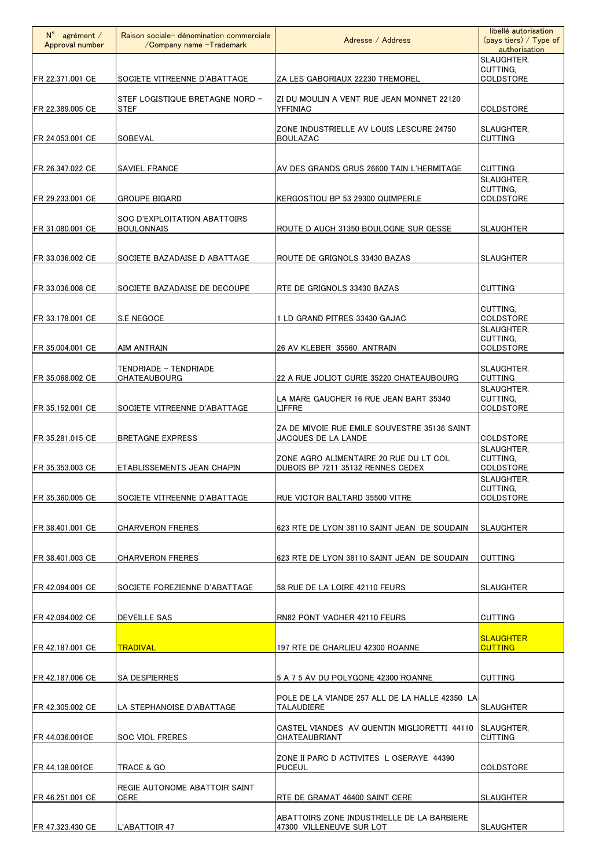| $N^{\circ}$ agrément /<br>Approval number | Raison sociale- dénomination commerciale<br>/Company name -Trademark | Adresse / Address                                                                  | libellé autorisation<br>$(pays$ tiers) / Type of<br>authorisation |
|-------------------------------------------|----------------------------------------------------------------------|------------------------------------------------------------------------------------|-------------------------------------------------------------------|
| FR 22.371.001 CE                          | SOCIETE VITREENNE D'ABATTAGE                                         | ZA LES GABORIAUX 22230 TREMOREL                                                    | SLAUGHTER,<br>CUTTING,<br><b>COLDSTORE</b>                        |
| FR 22.389.005 CE                          | STEF LOGISTIQUE BRETAGNE NORD -<br>STEF                              | ZI DU MOULIN A VENT RUE JEAN MONNET 22120<br>YFFINIAC                              | COLDSTORE                                                         |
| FR 24.053.001 CE                          | <b>SOBEVAL</b>                                                       | ZONE INDUSTRIELLE AV LOUIS LESCURE 24750<br><b>BOULAZAC</b>                        | SLAUGHTER,<br><b>CUTTING</b>                                      |
| FR 26.347.022 CE                          | <b>SAVIEL FRANCE</b>                                                 | AV DES GRANDS CRUS 26600 TAIN L'HERMITAGE                                          | <b>CUTTING</b>                                                    |
| FR 29.233.001 CE                          | <b>GROUPE BIGARD</b>                                                 | KERGOSTIOU BP 53 29300 QUIMPERLE                                                   | SLAUGHTER.<br>CUTTING,<br>COLDSTORE                               |
| FR 31.080.001 CE                          | SOC D'EXPLOITATION ABATTOIRS<br><b>BOULONNAIS</b>                    | ROUTE D AUCH 31350 BOULOGNE SUR GESSE                                              | <b>SLAUGHTER</b>                                                  |
| FR 33.036.002 CE                          | SOCIETE BAZADAISE D ABATTAGE                                         | ROUTE DE GRIGNOLS 33430 BAZAS                                                      | <b>SLAUGHTER</b>                                                  |
| FR 33.036.008 CE                          | SOCIETE BAZADAISE DE DECOUPE                                         | RTE DE GRIGNOLS 33430 BAZAS                                                        | <b>CUTTING</b>                                                    |
| FR 33.178.001 CE                          | S.E NEGOCE                                                           | 1 LD GRAND PITRES 33430 GAJAC                                                      | CUTTING,<br>COLDSTORE                                             |
|                                           |                                                                      |                                                                                    | SLAUGHTER.<br>CUTTING.                                            |
| FR 35.004.001 CE                          | AIM ANTRAIN<br>TENDRIADE - TENDRIADE                                 | 26 AV KLEBER 35560 ANTRAIN                                                         | <b>COLDSTORE</b><br>SLAUGHTER.                                    |
| FR 35.068.002 CE                          | CHATEAUBOURG                                                         | 22 A RUE JOLIOT CURIE 35220 CHATEAUBOURG<br>LA MARE GAUCHER 16 RUE JEAN BART 35340 | <b>CUTTING</b><br>SLAUGHTER,<br>CUTTING,                          |
| FR 35.152.001 CE                          | SOCIETE VITREENNE D'ABATTAGE                                         | LIFFRE<br>ZA DE MIVOIE RUE EMILE SOUVESTRE 35136 SAINT                             | <b>COLDSTORE</b>                                                  |
| FR 35.281.015 CE                          | <b>BRETAGNE EXPRESS</b>                                              | JACQUES DE LA LANDE<br>ZONE AGRO ALIMENTAIRE 20 RUE DU LT COL                      | <b>COLDSTORE</b><br>SLAUGHTER,<br>CUTTING,                        |
| FR 35.353.003 CE                          | ETABLISSEMENTS JEAN CHAPIN                                           | DUBOIS BP 7211 35132 RENNES CEDEX                                                  | <b>COLDSTORE</b><br>SLAUGHTER.<br>CUTTING,                        |
| FR 35.360.005 CE                          | SOCIETE VITREENNE D'ABATTAGE                                         | RUE VICTOR BALTARD 35500 VITRE                                                     | <b>COLDSTORE</b>                                                  |
| FR 38.401.001 CE                          | <b>CHARVERON FRERES</b>                                              | 623 RTE DE LYON 38110 SAINT JEAN DE SOUDAIN                                        | <b>SLAUGHTER</b>                                                  |
| FR 38.401.003 CE                          | <b>CHARVERON FRERES</b>                                              | 623 RTE DE LYON 38110 SAINT JEAN DE SOUDAIN                                        | <b>CUTTING</b>                                                    |
| FR 42.094.001 CE                          | SOCIETE FOREZIENNE D'ABATTAGE                                        | 58 RUE DE LA LOIRE 42110 FEURS                                                     | <b>SLAUGHTER</b>                                                  |
| FR 42.094.002 CE                          | DEVEILLE SAS                                                         | RN82 PONT VACHER 42110 FEURS                                                       | <b>CUTTING</b>                                                    |
| FR 42.187.001 CE                          | <b>TRADIVAL</b>                                                      | 197 RTE DE CHARLIEU 42300 ROANNE                                                   | <b>SLAUGHTER</b><br><b>CUTTING</b>                                |
| FR 42.187.006 CE                          | <b>SA DESPIERRES</b>                                                 | 5 A 7 5 AV DU POLYGONE 42300 ROANNE                                                | <b>CUTTING</b>                                                    |
| FR 42.305.002 CE                          | LA STEPHANOISE D'ABATTAGE                                            | POLE DE LA VIANDE 257 ALL DE LA HALLE 42350 LA<br>TALAUDIERE                       | <b>SLAUGHTER</b>                                                  |
| FR 44.036.001CE                           | SOC VIOL FRERES                                                      | CASTEL VIANDES AV QUENTIN MIGLIORETTI 44110<br>CHATEAUBRIANT                       | SLAUGHTER.<br><b>CUTTING</b>                                      |
| FR 44.138.001CE                           | TRACE & GO                                                           | ZONE II PARC D ACTIVITES L OSERAYE 44390<br><b>PUCEUL</b>                          | COLDSTORE                                                         |
| FR 46.251.001 CE                          | REGIE AUTONOME ABATTOIR SAINT<br>CERE                                | RTE DE GRAMAT 46400 SAINT CERE                                                     | <b>SLAUGHTER</b>                                                  |
| FR 47.323.430 CE                          | L'ABATTOIR 47                                                        | ABATTOIRS ZONE INDUSTRIELLE DE LA BARBIERE<br>47300 VILLENEUVE SUR LOT             | <b>SLAUGHTER</b>                                                  |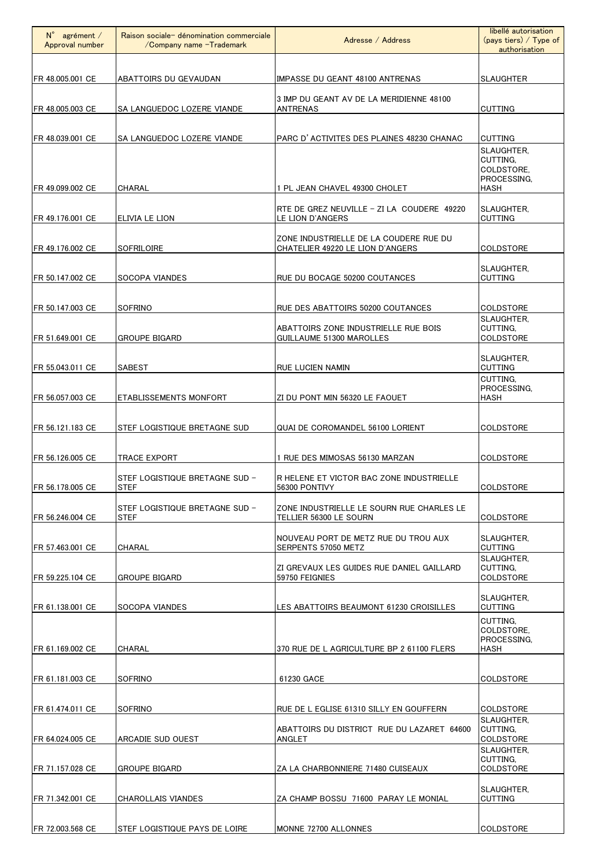| $N^{\circ}$ agrément /<br>Approval number | Raison sociale- dénomination commerciale<br>/Company name -Trademark | Adresse / Address                                                          | libellé autorisation<br>$(pays$ tiers) / Type of<br>authorisation |
|-------------------------------------------|----------------------------------------------------------------------|----------------------------------------------------------------------------|-------------------------------------------------------------------|
| FR 48.005.001 CE                          | ABATTOIRS DU GEVAUDAN                                                | IMPASSE DU GEANT 48100 ANTRENAS                                            | <b>SLAUGHTER</b>                                                  |
| FR 48.005.003 CE                          | SA LANGUEDOC LOZERE VIANDE                                           | 3 IMP DU GEANT AV DE LA MERIDIENNE 48100<br><b>ANTRENAS</b>                | <b>CUTTING</b>                                                    |
| FR 48.039.001 CE                          | SA LANGUEDOC LOZERE VIANDE                                           | PARC D'ACTIVITES DES PLAINES 48230 CHANAC                                  | <b>CUTTING</b><br>SLAUGHTER.<br>CUTTING.                          |
| FR 49.099.002 CE                          | CHARAL                                                               | 1 PL JEAN CHAVEL 49300 CHOLET                                              | COLDSTORE.<br>PROCESSING,<br><b>HASH</b>                          |
| FR 49.176.001 CE                          | ELIVIA LE LION                                                       | RTE DE GREZ NEUVILLE - ZI LA COUDERE 49220<br>LE LION D'ANGERS             | SLAUGHTER.<br><b>CUTTING</b>                                      |
| FR 49.176.002 CE                          | SOFRILOIRE                                                           | ZONE INDUSTRIELLE DE LA COUDERE RUE DU<br>CHATELIER 49220 LE LION D'ANGERS | <b>COLDSTORE</b>                                                  |
| FR 50.147.002 CE                          | SOCOPA VIANDES                                                       | RUE DU BOCAGE 50200 COUTANCES                                              | SLAUGHTER.<br><b>CUTTING</b>                                      |
| FR 50.147.003 CE                          | <b>SOFRINO</b>                                                       | RUE DES ABATTOIRS 50200 COUTANCES                                          | COLDSTORE                                                         |
| FR 51.649.001 CE                          | <b>GROUPE BIGARD</b>                                                 | ABATTOIRS ZONE INDUSTRIELLE RUE BOIS<br><b>GUILLAUME 51300 MAROLLES</b>    | SLAUGHTER,<br>CUTTING.<br><b>COLDSTORE</b>                        |
| FR 55.043.011 CE                          | <b>SABEST</b>                                                        | RUE LUCIEN NAMIN                                                           | SLAUGHTER,<br><b>CUTTING</b>                                      |
| FR 56.057.003 CE                          | <b>ETABLISSEMENTS MONFORT</b>                                        | ZI DU PONT MIN 56320 LE FAOUET                                             | CUTTING.<br>PROCESSING.<br><b>HASH</b>                            |
| FR 56.121.183 CE                          | STEF LOGISTIQUE BRETAGNE SUD                                         | QUAI DE COROMANDEL 56100 LORIENT                                           | <b>COLDSTORE</b>                                                  |
| FR 56.126.005 CE                          | <b>TRACE EXPORT</b>                                                  | 1 RUE DES MIMOSAS 56130 MARZAN                                             | <b>COLDSTORE</b>                                                  |
| FR 56.178.005 CE                          | STEF LOGISTIQUE BRETAGNE SUD -<br><b>STEF</b>                        | R HELENE ET VICTOR BAC ZONE INDUSTRIELLE<br>56300 PONTIVY                  | <b>COLDSTORE</b>                                                  |
| FR 56.246.004 CE                          | STEF LOGISTIQUE BRETAGNE SUD -<br><b>STEF</b>                        | ZONE INDUSTRIELLE LE SOURN RUE CHARLES LE<br>TELLIER 56300 LE SOURN        | <b>COLDSTORE</b>                                                  |
| FR 57.463.001 CE                          | CHARAL                                                               | NOUVEAU PORT DE METZ RUE DU TROU AUX<br>SERPENTS 57050 METZ                | SLAUGHTER.<br><b>CUTTING</b>                                      |
| FR 59.225.104 CE                          | <b>GROUPE BIGARD</b>                                                 | ZI GREVAUX LES GUIDES RUE DANIEL GAILLARD<br>59750 FEIGNIES                | SLAUGHTER.<br>CUTTING.<br><b>COLDSTORE</b>                        |
| FR 61.138.001 CE                          | SOCOPA VIANDES                                                       | LES ABATTOIRS BEAUMONT 61230 CROISILLES                                    | SLAUGHTER.<br><b>CUTTING</b>                                      |
| FR 61.169.002 CE                          | CHARAL                                                               | 370 RUE DE L AGRICULTURE BP 2 61100 FLERS                                  | CUTTING.<br>COLDSTORE.<br>PROCESSING,<br>HASH                     |
| FR 61.181.003 CE                          | SOFRINO                                                              | 61230 GACE                                                                 | <b>COLDSTORE</b>                                                  |
| FR 61.474.011 CE                          | <b>SOFRINO</b>                                                       | RUE DE L EGLISE 61310 SILLY EN GOUFFERN                                    | <b>COLDSTORE</b>                                                  |
| FR 64.024.005 CE                          | ARCADIE SUD OUEST                                                    | ABATTOIRS DU DISTRICT RUE DU LAZARET 64600<br>ANGLET                       | SLAUGHTER.<br>CUTTING.<br><b>COLDSTORE</b>                        |
| FR 71.157.028 CE                          | GROUPE BIGARD                                                        | ZA LA CHARBONNIERE 71480 CUISEAUX                                          | SLAUGHTER.<br>CUTTING.<br><b>COLDSTORE</b>                        |
| FR 71.342.001 CE                          | CHAROLLAIS VIANDES                                                   | ZA CHAMP BOSSU 71600 PARAY LE MONIAL                                       | SLAUGHTER.<br><b>CUTTING</b>                                      |
| FR 72.003.568 CE                          | STEF LOGISTIQUE PAYS DE LOIRE                                        | MONNE 72700 ALLONNES                                                       | <b>COLDSTORE</b>                                                  |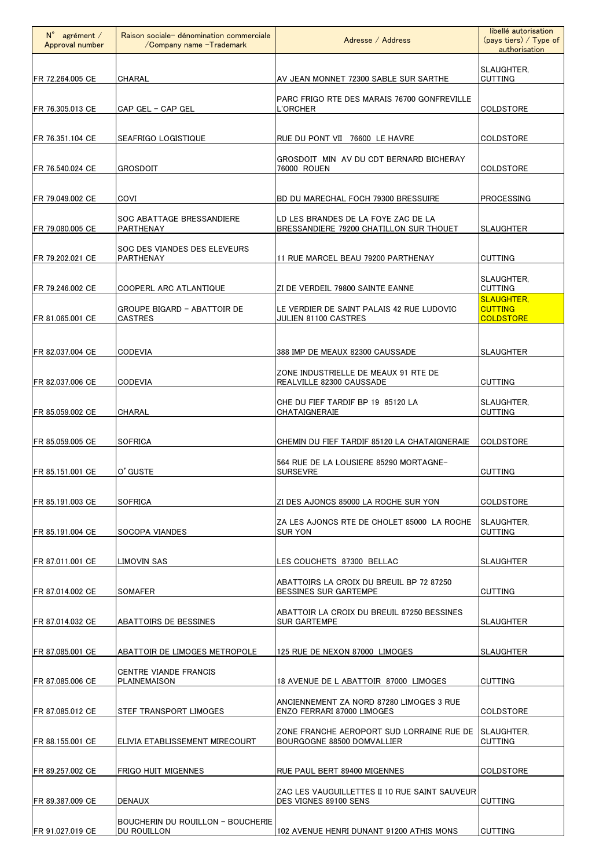| $N^{\circ}$ agrément /<br>Approval number | Raison sociale- dénomination commerciale<br>/Company name -Trademark | Adresse / Address                                                              | libellé autorisation<br>$(pays$ tiers) / Type of<br>authorisation |
|-------------------------------------------|----------------------------------------------------------------------|--------------------------------------------------------------------------------|-------------------------------------------------------------------|
| FR 72.264.005 CE                          | CHARAL                                                               | AV JEAN MONNET 72300 SABLE SUR SARTHE                                          | SLAUGHTER.<br><b>CUTTING</b>                                      |
| FR 76.305.013 CE                          | CAP GEL - CAP GEL                                                    | PARC FRIGO RTE DES MARAIS 76700 GONFREVILLE<br>L'ORCHER                        | <b>COLDSTORE</b>                                                  |
| FR 76.351.104 CE                          | SEAFRIGO LOGISTIQUE                                                  | RUE DU PONT VII 76600 LE HAVRE                                                 | <b>COLDSTORE</b>                                                  |
| FR 76.540.024 CE                          | <b>GROSDOIT</b>                                                      | GROSDOIT MIN AV DU CDT BERNARD BICHERAY<br>76000 ROUEN                         | COLDSTORE                                                         |
| FR 79.049.002 CE                          | COVI                                                                 | BD DU MARECHAL FOCH 79300 BRESSUIRE                                            | <b>PROCESSING</b>                                                 |
| FR 79.080.005 CE                          | SOC ABATTAGE BRESSANDIERE<br>PARTHENAY                               | LD LES BRANDES DE LA FOYE ZAC DE LA<br>BRESSANDIERE 79200 CHATILLON SUR THOUET | <b>SLAUGHTER</b>                                                  |
| FR 79.202.021 CE                          | SOC DES VIANDES DES ELEVEURS<br>PARTHENAY                            | 11 RUE MARCEL BEAU 79200 PARTHENAY                                             | <b>CUTTING</b>                                                    |
| FR 79.246.002 CE                          | COOPERL ARC ATLANTIQUE                                               | ZI DE VERDEIL 79800 SAINTE EANNE                                               | SLAUGHTER.<br><b>CUTTING</b>                                      |
| FR 81.065.001 CE                          | <b>GROUPE BIGARD - ABATTOIR DE</b><br><b>CASTRES</b>                 | LE VERDIER DE SAINT PALAIS 42 RUE LUDOVIC<br>JULIEN 81100 CASTRES              | <b>SLAUGHTER,</b><br><b>CUTTING</b><br><b>COLDSTORE</b>           |
| FR 82.037.004 CE                          | <b>CODEVIA</b>                                                       | 388 IMP DE MEAUX 82300 CAUSSADE                                                | <b>SLAUGHTER</b>                                                  |
| FR 82.037.006 CE                          | <b>CODEVIA</b>                                                       | ZONE INDUSTRIELLE DE MEAUX 91 RTE DE<br>REALVILLE 82300 CAUSSADE               | <b>CUTTING</b>                                                    |
| FR 85.059.002 CE                          | CHARAL                                                               | CHE DU FIEF TARDIF BP 19 85120 LA<br>CHATAIGNERAIE                             | SLAUGHTER.<br><b>CUTTING</b>                                      |
| FR 85.059.005 CE                          | <b>SOFRICA</b>                                                       | CHEMIN DU FIEF TARDIF 85120 LA CHATAIGNERAIE                                   | <b>COLDSTORE</b>                                                  |
| FR 85.151.001 CE                          | O' GUSTE                                                             | 564 RUE DE LA LOUSIERE 85290 MORTAGNE-<br><b>SURSEVRE</b>                      | <b>CUTTING</b>                                                    |
| FR 85.191.003 CE                          | <b>SOFRICA</b>                                                       | ZI DES AJONCS 85000 LA ROCHE SUR YON                                           | COLDSTORE                                                         |
| FR 85.191.004 CE                          | <b>SOCOPA VIANDES</b>                                                | ZA LES AJONCS RTE DE CHOLET 85000 LA ROCHE<br><b>SUR YON</b>                   | <b>ISLAUGHTER.</b><br><b>CUTTING</b>                              |
| FR 87.011.001 CE                          | <b>LIMOVIN SAS</b>                                                   | LES COUCHETS 87300 BELLAC                                                      | <b>SLAUGHTER</b>                                                  |
| FR 87.014.002 CE                          | SOMAFER                                                              | ABATTOIRS LA CROIX DU BREUIL BP 72 87250<br><b>BESSINES SUR GARTEMPE</b>       | <b>CUTTING</b>                                                    |
| FR 87.014.032 CE                          | ABATTOIRS DE BESSINES                                                | ABATTOIR LA CROIX DU BREUIL 87250 BESSINES<br><b>SUR GARTEMPE</b>              | <b>SLAUGHTER</b>                                                  |
| FR 87.085.001 CE                          | ABATTOIR DE LIMOGES METROPOLE                                        | 125 RUE DE NEXON 87000 LIMOGES                                                 | SLAUGHTER                                                         |
| FR 87.085.006 CE                          | <b>CENTRE VIANDE FRANCIS</b><br>PLAINEMAISON                         | 18 AVENUE DE L ABATTOIR 87000 LIMOGES                                          | <b>CUTTING</b>                                                    |
| FR 87.085.012 CE                          | <b>STEF TRANSPORT LIMOGES</b>                                        | ANCIENNEMENT ZA NORD 87280 LIMOGES 3 RUE<br>ENZO FERRARI 87000 LIMOGES         | <b>COLDSTORE</b>                                                  |
| FR 88.155.001 CE                          | IELIVIA ETABLISSEMENT MIRECOURT                                      | ZONE FRANCHE AEROPORT SUD LORRAINE RUE DE<br>BOURGOGNE 88500 DOMVALLIER        | SLAUGHTER,<br><b>CUTTING</b>                                      |
| FR 89.257.002 CE                          | FRIGO HUIT MIGENNES                                                  | RUE PAUL BERT 89400 MIGENNES                                                   | <b>COLDSTORE</b>                                                  |
| FR 89.387.009 CE                          | <b>DENAUX</b>                                                        | ZAC LES VAUGUILLETTES II 10 RUE SAINT SAUVEUR<br>DES VIGNES 89100 SENS         | <b>CUTTING</b>                                                    |
| FR 91.027.019 CE                          | BOUCHERIN DU ROUILLON - BOUCHERIE<br>DU ROUILLON                     | 102 AVENUE HENRI DUNANT 91200 ATHIS MONS                                       | <b>CUTTING</b>                                                    |